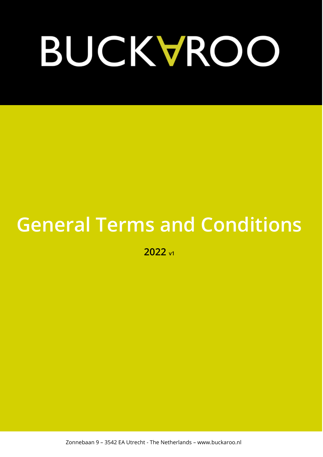# BUCKVROO

# **General Terms and Conditions**

**2022 v1**

Zonnebaan 9 – 3542 EA Utrecht - The Netherlands – www.buckaroo.nl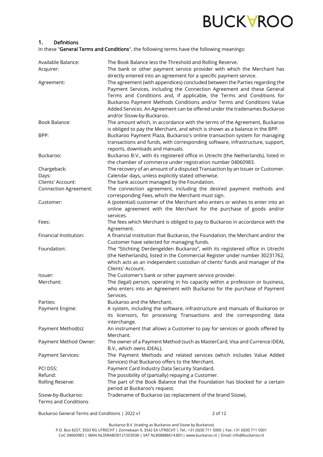

# 1. Definitions

In these "General Terms and Conditions", the following terms have the following meanings:

| Available Balance:<br>Acquirer:                   | The Book Balance less the Threshold and Rolling Reserve.<br>The bank or other payment service provider with which the Merchant has                                                                                                                                                                                                                                                                                                                                                      |
|---------------------------------------------------|-----------------------------------------------------------------------------------------------------------------------------------------------------------------------------------------------------------------------------------------------------------------------------------------------------------------------------------------------------------------------------------------------------------------------------------------------------------------------------------------|
| Agreement:                                        | directly entered into an agreement for a specific payment service.<br>The agreement (with appendices) concluded between the Parties regarding the<br>Payment Services, including the Connection Agreement and these General<br>Terms and Conditions and, if applicable, the Terms and Conditions for<br>Buckaroo Payment Methods Conditions and/or Terms and Conditions Value<br>Added Services. An Agreement can be offered under the tradenames Buckaroo<br>and/or Sisow-by-Buckaroo. |
| Book Balance:                                     | The amount which, in accordance with the terms of the Agreement, Buckaroo                                                                                                                                                                                                                                                                                                                                                                                                               |
| BPP:                                              | is obliged to pay the Merchant, and which is shown as a balance in the BPP.<br>Buckaroo Payment Plaza, Buckaroo's online transaction system for managing<br>transactions and funds, with corresponding software, infrastructure, support,<br>reports, downloads and manuals.                                                                                                                                                                                                            |
| Buckaroo:                                         | Buckaroo B.V., with its registered office in Utrecht (the Netherlands), listed in<br>the chamber of commerce under registration number 04060983.                                                                                                                                                                                                                                                                                                                                        |
| Chargeback:<br>Days:                              | The recovery of an amount of a disputed Transaction by an Issuer or Customer.<br>Calendar days, unless explicitly stated otherwise.                                                                                                                                                                                                                                                                                                                                                     |
| Clients' Account:                                 | The bank account managed by the Foundation.                                                                                                                                                                                                                                                                                                                                                                                                                                             |
| <b>Connection Agreement:</b>                      | The connection agreement, including the desired payment methods and                                                                                                                                                                                                                                                                                                                                                                                                                     |
|                                                   | corresponding Fees, which the Merchant must sign.                                                                                                                                                                                                                                                                                                                                                                                                                                       |
|                                                   |                                                                                                                                                                                                                                                                                                                                                                                                                                                                                         |
| Customer:                                         | A (potential) customer of the Merchant who enters or wishes to enter into an                                                                                                                                                                                                                                                                                                                                                                                                            |
|                                                   | online agreement with the Merchant for the purchase of goods and/or<br>services.                                                                                                                                                                                                                                                                                                                                                                                                        |
| Fees:                                             | The fees which Merchant is obliged to pay to Buckaroo in accordance with the<br>Agreement.                                                                                                                                                                                                                                                                                                                                                                                              |
| Financial Institution:                            | A financial institution that Buckaroo, the Foundation, the Merchant and/or the                                                                                                                                                                                                                                                                                                                                                                                                          |
| Foundation:                                       | Customer have selected for managing funds.<br>The "Stichting Derdengelden Buckaroo", with its registered office in Utrecht                                                                                                                                                                                                                                                                                                                                                              |
|                                                   | (the Netherlands), listed in the Commercial Register under number 30231762,<br>which acts as an independent custodian of clients' funds and manager of the<br>Clients' Account.                                                                                                                                                                                                                                                                                                         |
| Issuer:                                           | The Customer's bank or other payment service provider.                                                                                                                                                                                                                                                                                                                                                                                                                                  |
| Merchant:                                         | The (legal) person, operating in his capacity within a profession or business,<br>who enters into an Agreement with Buckaroo for the purchase of Payment<br>Services.                                                                                                                                                                                                                                                                                                                   |
| Parties:                                          | Buckaroo and the Merchant.                                                                                                                                                                                                                                                                                                                                                                                                                                                              |
|                                                   |                                                                                                                                                                                                                                                                                                                                                                                                                                                                                         |
| Payment Engine:                                   | A system, including the software, infrastructure and manuals of Buckaroo or<br>its licensors, for processing Transactions and the corresponding data<br>interchange.                                                                                                                                                                                                                                                                                                                    |
| Payment Method(s):                                | An instrument that allows a Customer to pay for services or goods offered by<br>Merchant.                                                                                                                                                                                                                                                                                                                                                                                               |
| Payment Method Owner:                             | The owner of a Payment Method (such as MasterCard, Visa and Currence iDEAL<br>B.V., which owns iDEAL).                                                                                                                                                                                                                                                                                                                                                                                  |
| <b>Payment Services:</b>                          | The Payment Methods and related services (which includes Value Added<br>Services) that Buckaroo offers to the Merchant.                                                                                                                                                                                                                                                                                                                                                                 |
| PCI DSS:                                          | Payment Card Industry Data Security Standard.                                                                                                                                                                                                                                                                                                                                                                                                                                           |
| Refund:                                           | The possibility of (partially) repaying a Customer.                                                                                                                                                                                                                                                                                                                                                                                                                                     |
|                                                   |                                                                                                                                                                                                                                                                                                                                                                                                                                                                                         |
| Rolling Reserve:                                  | The part of the Book Balance that the Foundation has blocked for a certain<br>period at Buckaroo's request.                                                                                                                                                                                                                                                                                                                                                                             |
| Sisow-by-Buckaroo:<br><b>Terms and Conditions</b> | Tradename of Buckaroo (as replacement of the brand Sisow).                                                                                                                                                                                                                                                                                                                                                                                                                              |

Buckaroo General Terms and Conditions | 2022 v1 2 2 2 0 2 2 0 2 2 0 12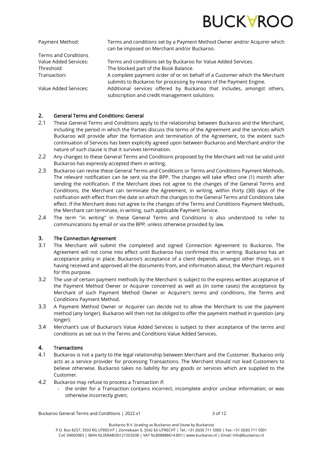

Terms and Conditions

Payment Method: Terms and conditions set by a Payment Method Owner and/or Acquirer which can be imposed on Merchant and/or Buckaroo.

Value Added Services: Terms and conditions set by Buckaroo for Value Added Services. Threshold: The blocked part of the Book Balance. Transaction: A complete payment order of or on behalf of a Customer which the Merchant submits to Buckaroo for processing by means of the Payment Engine.

Value Added Services: Additional services offered by Buckaroo that includes, amongst others, subscription and credit management solutions

# 2. General Terms and Conditions: General

- 2.1 These General Terms and Conditions apply to the relationship between Buckaroo and the Merchant. including the period in which the Parties discuss the terms of the Agreement and the services which Buckaroo will provide after the formation and termination of the Agreement, to the extent such continuation of Services has been explicitly agreed upon between Buckaroo and Merchant and/or the nature of such clause is that it survives termination.
- 2.2 Any changes to these General Terms and Conditions proposed by the Merchant will not be valid until Buckaroo has expressly accepted them in writing.
- 2.3 Buckaroo can revise these General Terms and Conditions or Terms and Conditions Payment Methods. The relevant notification can be sent via the BPP. The changes will take effect one (1) month after sending the notification. If the Merchant does not agree to the changes of the General Terms and Conditions, the Merchant can terminate the Agreement, in writing, within thirty (30) days of the notification with effect from the date on which the changes to the General Terms and Conditions take effect. If the Merchant does not agree to the changes of the Terms and Conditions Payment Methods, the Merchant can terminate, in writing, such applicable Payment Service.
- 2.4 The term ''in writing'' in these General Terms and Conditions is also understood to refer to communications by email or via the BPP, unless otherwise provided by law.

## 3. The Connection Agreement

- 3.1 The Merchant will submit the completed and signed Connection Agreement to Buckaroo. The Agreement will not come into effect until Buckaroo has confirmed this in writing. Buckaroo has an acceptance policy in place. Buckaroo's acceptance of a client depends, amongst other things, on it having received and approved all the documents from, and information about, the Merchant required for this purpose.
- 3.2 The use of certain payment methods by the Merchant is subject to the express written acceptance of the Payment Method Owner or Acquirer concerned as well as (in some cases) the acceptance by Merchant of such Payment Method Owner or Acquirer's terms and conditions, the Terms and Conditions Payment Method.
- 3.3 A Payment Method Owner or Acquirer can decide not to allow the Merchant to use the payment method (any longer). Buckaroo will then not be obliged to offer the payment method in question (any longer).
- 3.4 Merchant's use of Buckaroo's Value Added Services is subject to their acceptance of the terms and conditions as set out in the Terms and Conditions Value Added Services.

# 4. Transactions

- 4.1 Buckaroo is not a party to the legal relationship between Merchant and the Customer. Buckaroo only acts as a service provider for processing Transactions. The Merchant should not lead Customers to believe otherwise. Buckaroo takes no liability for any goods or services which are supplied to the Customer.
- 4.2 Buckaroo may refuse to process a Transaction if:
	- the order for a Transaction contains incorrect, incomplete and/or unclear information, or was otherwise incorrectly given;

Buckaroo General Terms and Conditions | 2022 v1 3 of 12

P.O. Box 8257, 3503 RG UTRECHT | Zonnebaan 9, 3542 EA UTRECHT | Tel.: +31 (0)30 711 5000 | Fax: +31 (0)30 711 5001 CoC 04060983 | IBAN NL05RABO0121503038 | VAT NL808888614.B01| www.buckaroo.nl | Email: info@buckaroo.nl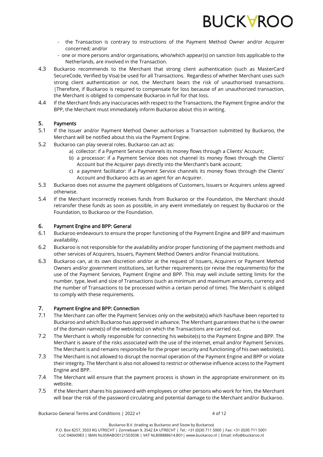

- the Transaction is contrary to instructions of the Payment Method Owner and/or Acquirer concerned; and/or
- one or more persons and/or organisations, who/which appear(s) on sanction lists applicable to the Netherlands, are involved in the Transaction.
- 4.3 Buckaroo recommends to the Merchant that strong client authentication (such as MasterCard SecureCode, Verified by Visa) be used for all Transactions. Regardless of whether Merchant uses such strong client authentication or not, the Merchant bears the risk of unauthorised transactions. |Therefore, if Buckaroo is required to compensate for loss because of an unauthorized transaction, the Merchant is obliged to compensate Buckaroo in full for that loss.
- 4.4 If the Merchant finds any inaccuracies with respect to the Transactions, the Payment Engine and/or the BPP, the Merchant must immediately inform Buckaroo about this in writing.

## 5. Payments

- 5.1 If the Issuer and/or Payment Method Owner authorises a Transaction submitted by Buckaroo, the Merchant will be notified about this via the Payment Engine.
- 5.2 Buckaroo can play several roles. Buckaroo can act as:
	- a) collector: if a Payment Service channels its money flows through a Clients' Account;
	- b) a processor: if a Payment Service does not channel its money flows through the Clients' Account but the Acquirer pays directly into the Merchant's bank account;
	- c) a payment facilitator: if a Payment Service channels its money flows through the Clients' Account and Buckaroo acts as an agent for an Acquirer.
- 5.3 Buckaroo does not assume the payment obligations of Customers, Issuers or Acquirers unless agreed otherwise.
- 5.4 If the Merchant incorrectly receives funds from Buckaroo or the Foundation, the Merchant should retransfer these funds as soon as possible, in any event immediately on request by Buckaroo or the Foundation, to Buckaroo or the Foundation.

## 6. Payment Engine and BPP: General

- 6.1 Buckaroo endeavours to ensure the proper functioning of the Payment Engine and BPP and maximum availability.
- 6.2 Buckaroo is not responsible for the availability and/or proper functioning of the payment methods and other services of Acquirers, Issuers, Payment Method Owners and/or Financial Institutions.
- 6.3 Buckaroo can, at its own discretion and/or at the request of Issuers, Acquirers or Payment Method Owners and/or government institutions, set further requirements (or revise the requirements) for the use of the Payment Services, Payment Engine and BPP. This may well include setting limits for the number, type, level and size of Transactions (such as minimum and maximum amounts, currency and the number of Transactions to be processed within a certain period of time). The Merchant is obliged to comply with these requirements.

## 7. Payment Engine and BPP: Connection

- 7.1 The Merchant can offer the Payment Services only on the website(s) which has/have been reported to Buckaroo and which Buckaroo has approved in advance. The Merchant guarantees that he is the owner of the domain name(s) of the website(s) on which the Transactions are carried out.
- 7.2 The Merchant is wholly responsible for connecting his website(s) to the Payment Engine and BPP. The Merchant is aware of the risks associated with the use of the internet, email and/or Payment Services. The Merchant is and remains responsible for the proper security and functioning of his own website(s).
- 7.3 The Merchant is not allowed to disrupt the normal operation of the Payment Engine and BPP or violate their integrity. The Merchant is also not allowed to restrict or otherwise influence access to the Payment Engine and BPP.
- 7.4 The Merchant will ensure that the payment process is shown in the appropriate environment on its website.
- 7.5 If the Merchant shares his password with employees or other persons who work for him, the Merchant will bear the risk of the password circulating and potential damage to the Merchant and/or Buckaroo.

Buckaroo General Terms and Conditions | 2022 v1 4 of 12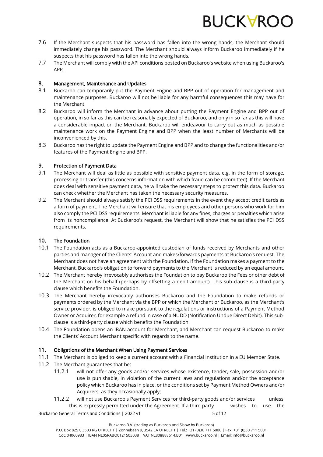

- 7.6 If the Merchant suspects that his password has fallen into the wrong hands, the Merchant should immediately change his password. The Merchant should always inform Buckaroo immediately if he suspects that his password has fallen into the wrong hands.
- 7.7 The Merchant will comply with the API conditions posted on Buckaroo's website when using Buckaroo's APIs.

#### 8. Management, Maintenance and Updates

- 8.1 Buckaroo can temporarily put the Payment Engine and BPP out of operation for management and maintenance purposes. Buckaroo will not be liable for any harmful consequences this may have for the Merchant.
- 8.2 Buckaroo will inform the Merchant in advance about putting the Payment Engine and BPP out of operation, in so far as this can be reasonably expected of Buckaroo, and only in so far as this will have a considerable impact on the Merchant. Buckaroo will endeavour to carry out as much as possible maintenance work on the Payment Engine and BPP when the least number of Merchants will be inconvenienced by this.
- 8.3 Buckaroo has the right to update the Payment Engine and BPP and to change the functionalities and/or features of the Payment Engine and BPP.

#### 9. Protection of Payment Data

- 9.1 The Merchant will deal as little as possible with sensitive payment data, e.g. in the form of storage, processing or transfer (this concerns information with which fraud can be committed). If the Merchant does deal with sensitive payment data, he will take the necessary steps to protect this data. Buckaroo can check whether the Merchant has taken the necessary security measures.
- 9.2 The Merchant should always satisfy the PCI DSS requirements in the event they accept credit cards as a form of payment. The Merchant will ensure that his employees and other persons who work for him also comply the PCI DSS requirements. Merchant is liable for any fines, charges or penalties which arise from its noncompliance. At Buckaroo's request, the Merchant will show that he satisfies the PCI DSS requirements.

#### 10. The Foundation

- 10.1 The Foundation acts as a Buckaroo-appointed custodian of funds received by Merchants and other parties and manager of the Clients' Account and makes/forwards payments at Buckaroo's request. The Merchant does not have an agreement with the Foundation. If the Foundation makes a payment to the Merchant, Buckaroo's obligation to forward payments to the Merchant is reduced by an equal amount.
- 10.2 The Merchant hereby irrevocably authorises the Foundation to pay Buckaroo the Fees or other debt of the Merchant on his behalf (perhaps by offsetting a debit amount). This sub-clause is a third-party clause which benefits the Foundation.
- 10.3 The Merchant hereby irrevocably authorises Buckaroo and the Foundation to make refunds or payments ordered by the Merchant via the BPP or which the Merchant or Buckaroo, as the Merchant's service provider, is obliged to make pursuant to the regulations or instructions of a Payment Method Owner or Acquirer, for example a refund in case of a NUDD (Notification Undue Direct Debit). This subclause is a third-party clause which benefits the Foundation.
- 10.4 The Foundation opens an IBAN account for Merchant, and Merchant can request Buckaroo to make the Clients' Account Merchant specific with regards to the name.

## 11. Obligations of the Merchant When Using Payment Services

- 11.1 The Merchant is obliged to keep a current account with a Financial Institution in a EU Member State.
- 11.2 The Merchant guarantees that he:
	- 11.2.1 will not offer any goods and/or services whose existence, tender, sale, possession and/or use is punishable, in violation of the current laws and regulations and/or the acceptance policy which Buckaroo has in place, or the conditions set by Payment Method Owners and/or Acquirers, as they occasionally apply;
	- 11.2.2 will not use Buckaroo's Payment Services for third-party goods and/or services unless this is expressly permitted under the Agreement. If a third party wishes to use the

Buckaroo General Terms and Conditions | 2022 v1 5 5 5 5 5 6 12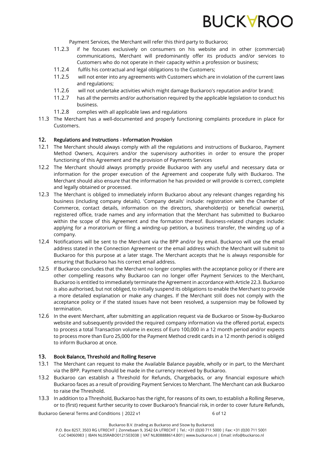

Payment Services, the Merchant will refer this third party to Buckaroo;

- 11.2.3 if he focuses exclusively on consumers on his website and in other (commercial) communications, Merchant will predominantly offer its products and/or services to Customers who do not operate in their capacity within a profession or business;
- 11.2.4 fulfils his contractual and legal obligations to the Customers;
- 11.2.5 will not enter into any agreements with Customers which are in violation of the current laws and regulations;
- 11.2.6 will not undertake activities which might damage Buckaroo's reputation and/or brand;
- 11.2.7 has all the permits and/or authorisation required by the applicable legislation to conduct his business.
- 11.2.8 complies with all applicable laws and regulations
- 11.3 The Merchant has a well-documented and properly functioning complaints procedure in place for Customers.

#### 12. Regulations and Instructions - Information Provision

- 12.1 The Merchant should always comply with all the regulations and instructions of Buckaroo, Payment Method Owners, Acquirers and/or the supervisory authorities in order to ensure the proper functioning of this Agreement and the provision of Payments Services
- 12.2 The Merchant should always promptly provide Buckaroo with any useful and necessary data or information for the proper execution of the Agreement and cooperate fully with Buckaroo. The Merchant should also ensure that the information he has provided or will provide is correct, complete and legally obtained or processed.
- 12.3 The Merchant is obliged to immediately inform Buckaroo about any relevant changes regarding his business (including company details). 'Company details' include: registration with the Chamber of Commerce, contact details, information on the directors, shareholder(s) or beneficial owner(s), registered office, trade names and any information that the Merchant has submitted to Buckaroo within the scope of this Agreement and the formation thereof. Business-related changes include: applying for a moratorium or filing a winding-up petition, a business transfer, the winding up of a company.
- 12.4 Notifications will be sent to the Merchant via the BPP and/or by email. Buckaroo will use the email address stated in the Connection Agreement or the email address which the Merchant will submit to Buckaroo for this purpose at a later stage. The Merchant accepts that he is always responsible for ensuring that Buckaroo has his correct email address.
- 12.5 If Buckaroo concludes that the Merchant no longer complies with the acceptance policy or if there are other compelling reasons why Buckaroo can no longer offer Payment Services to the Merchant, Buckaroo is entitled to immediately terminate the Agreement in accordance with Articl[e 22.3.](#page-9-0) Buckaroo is also authorised, but not obliged, to initially suspend its obligations to enable the Merchant to provide a more detailed explanation or make any changes. If the Merchant still does not comply with the acceptance policy or if the stated issues have not been resolved, a suspension may be followed by termination.
- 12.6 In the event Merchant, after submitting an application request via de Buckaroo or Sisow-by-Buckaroo website and subsequently provided the required company information via the offered portal, expects to process a total Transaction volume in excess of Euro 100,000 in a 12 month period and/or expects to process more than Euro 25,000 for the Payment Method credit cards in a 12 month period is obliged to inform Buckaroo at once.

#### 13. Book Balance, Threshold and Rolling Reserve

- 13.1 The Merchant can request to make the Available Balance payable, wholly or in part, to the Merchant via the BPP. Payment should be made in the currency received by Buckaroo.
- 13.2 Buckaroo can establish a Threshold for Refunds, Chargebacks, or any financial exposure which Buckaroo faces as a result of providing Payment Services to Merchant. The Merchant can ask Buckaroo to raise the Threshold.
- 13.3 In addition to a Threshold, Buckaroo has the right, for reasons of its own, to establish a Rolling Reserve, or to (first) request further security to cover Buckaroo's financial risk, in order to cover future Refunds,

Buckaroo General Terms and Conditions | 2022 v1 6 of 12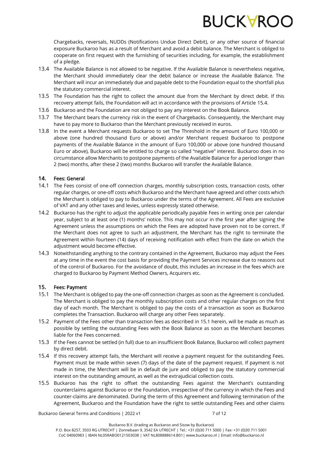

Chargebacks, reversals, NUDDs (Notifications Undue Direct Debit), or any other source of financial exposure Buckaroo has as a result of Merchant and avoid a debit balance. The Merchant is obliged to cooperate on first request with the furnishing of securities including, for example, the establishment of a pledge.

- 13.4 The Available Balance is not allowed to be negative. If the Available Balance is nevertheless negative, the Merchant should immediately clear the debit balance or increase the Available Balance. The Merchant will incur an immediately due and payable debt to the Foundation equal to the shortfall plus the statutory commercial interest.
- 13.5 The Foundation has the right to collect the amount due from the Merchant by direct debit. If this recovery attempt fails, the Foundation will act in accordance with the provisions of Article 15.4.
- 13.6 Buckaroo and the Foundation are not obliged to pay any interest on the Book Balance.
- 13.7 The Merchant bears the currency risk in the event of Chargebacks. Consequently, the Merchant may have to pay more to Buckaroo than the Merchant previously received in euros.
- 13.8 In the event a Merchant requests Buckaroo to set The Threshold in the amount of Euro 100,000 or above (one hundred thousand Euro or above) and/or Merchant request Buckaroo to postpone payments of the Available Balance in the amount of Euro 100,000 or above (one hundred thousand Euro or above), Buckaroo will be entitled to charge so called "negative" interest. Buckaroo does in no circumstance allow Merchants to postpone payments of the Available Balance for a period longer than 2 (two) months, after these 2 (two) months Buckaroo will transfer the Available Balance.

## 14. Fees: General

- 14.1 The Fees consist of one-off connection charges, monthly subscription costs, transaction costs, other regular charges, or one-off costs which Buckaroo and the Merchant have agreed and other costs which the Merchant is obliged to pay to Buckaroo under the terms of the Agreement. All Fees are exclusive of VAT and any other taxes and levies, unless expressly stated otherwise.
- 14.2 Buckaroo has the right to adjust the applicable periodically payable Fees in writing once per calendar year, subject to at least one (1) months' notice. This may not occur in the first year after signing the Agreement unless the assumptions on which the Fees are adopted have proven not to be correct. If the Merchant does not agree to such an adjustment, the Merchant has the right to terminate the Agreement within fourteen (14) days of receiving notification with effect from the date on which the adjustment would become effective.
- 14.3 Notwithstanding anything to the contrary contained in the Agreement, Buckaroo may adjust the Fees at any time in the event the cost basis for providing the Payment Services increase due to reasons out of the control of Buckaroo. For the avoidance of doubt, this includes an increase in the fees which are charged to Buckaroo by Payment Method Owners, Acquirers etc.

## 15. Fees: Payment

- 15.1 The Merchant is obliged to pay the one-off connection charges as soon as the Agreement is concluded. The Merchant is obliged to pay the monthly subscription costs and other regular charges on the first day of each month. The Merchant is obliged to pay the costs of a transaction as soon as Buckaroo completes the Transaction. Buckaroo will charge any other Fees separately.
- <span id="page-6-0"></span>15.2 Payment of the Fees other than transaction fees as described in 15.1 herein, will be made as much as possible by settling the outstanding Fees with the Book Balance as soon as the Merchant becomes liable for the Fees concerned.
- 15.3 If the Fees cannot be settled (in full) due to an insufficient Book Balance, Buckaroo will collect payment by direct debit.
- <span id="page-6-2"></span>15.4 If this recovery attempt fails, the Merchant will receive a payment request for the outstanding Fees. Payment must be made within seven (7) days of the date of the payment request. If payment is not made in time, the Merchant will be in default de jure and obliged to pay the statutory commercial interest on the outstanding amount, as well as the extrajudicial collection costs.
- <span id="page-6-1"></span>15.5 Buckaroo has the right to offset the outstanding Fees against the Merchant's outstanding counterclaims against Buckaroo or the Foundation, irrespective of the currency in which the Fees and counter-claims are denominated. During the term of this Agreement and following termination of the Agreement, Buckaroo and the Foundation have the right to settle outstanding Fees and other claims

Buckaroo General Terms and Conditions | 2022 v1 7 of 12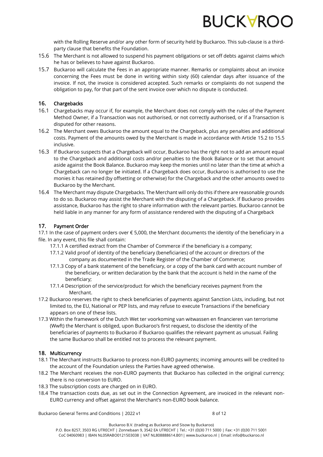

with the Rolling Reserve and/or any other form of security held by Buckaroo. This sub-clause is a thirdparty clause that benefits the Foundation.

- 15.6 The Merchant is not allowed to suspend his payment obligations or set off debts against claims which he has or believes to have against Buckaroo.
- 15.7 Buckaroo will calculate the Fees in an appropriate manner. Remarks or complaints about an invoice concerning the Fees must be done in writing within sixty (60) calendar days after issuance of the invoice. If not, the invoice is considered accepted. Such remarks or complaints do not suspend the obligation to pay, for that part of the sent invoice over which no dispute is conducted.

## 16. Chargebacks

- 16.1 Chargebacks may occur if, for example, the Merchant does not comply with the rules of the Payment Method Owner, if a Transaction was not authorised, or not correctly authorised, or if a Transaction is disputed for other reasons.
- 16.2 The Merchant owes Buckaroo the amount equal to the Chargeback, plus any penalties and additional costs. Payment of the amounts owed by the Merchant is made in accordance with Article [15.2](#page-6-0) t[o 15.5](#page-6-1) inclusive.
- 16.3 If Buckaroo suspects that a Chargeback will occur, Buckaroo has the right not to add an amount equal to the Chargeback and additional costs and/or penalties to the Book Balance or to set that amount aside against the Book Balance. Buckaroo may keep the monies until no later than the time at which a Chargeback can no longer be initiated. If a Chargeback does occur, Buckaroo is authorised to use the monies it has retained (by offsetting or otherwise) for the Chargeback and the other amounts owed to Buckaroo by the Merchant.
- 16.4 The Merchant may dispute Chargebacks. The Merchant will only do this if there are reasonable grounds to do so. Buckaroo may assist the Merchant with the disputing of a Chargeback. If Buckaroo provides assistance, Buckaroo has the right to share information with the relevant parties. Buckaroo cannot be held liable in any manner for any form of assistance rendered with the disputing of a Chargeback

## 17. Payment Order

17.1 In the case of payment orders over € 5,000, the Merchant documents the identity of the beneficiary in a file. In any event, this file shall contain:

- 17.1.1 A certified extract from the Chamber of Commerce if the beneficiary is a company;
- 17.1.2 Valid proof of identity of the beneficiary (beneficiaries) of the account or directors of the company as documented in the Trade Register of the Chamber of Commerce;
- 17.1.3 Copy of a bank statement of the beneficiary, or a copy of the bank card with account number of the beneficiary, or written declaration by the bank that the account is held in the name of the beneficiary;
- 17.1.4 Description of the service/product for which the beneficiary receives payment from the Merchant.
- 17.2 Buckaroo reserves the right to check beneficiaries of payments against Sanction Lists, including, but not limited to, the EU, National or PEP lists, and may refuse to execute Transactions if the beneficiary appears on one of these lists.
- 17.3 Within the framework of the Dutch Wet ter voorkoming van witwassen en financieren van terrorisme (Wwft) the Merchant is obliged, upon Buckaroo's first request, to disclose the identity of the beneficiaries of payments to Buckaroo if Buckaroo qualifies the relevant payment as unusual. Failing the same Buckaroo shall be entitled not to process the relevant payment.

## 18. Multicurrency

- 18.1 The Merchant instructs Buckaroo to process non-EURO payments; incoming amounts will be credited to the account of the Foundation unless the Parties have agreed otherwise.
- 18.2 The Merchant receives the non-EURO payments that Buckaroo has collected in the original currency; there is no conversion to EURO.
- 18.3 The subscription costs are charged on in EURO.
- 18.4 The transaction costs due, as set out in the Connection Agreement, are invoiced in the relevant non-EURO currency and offset against the Merchant's non-EURO book balance.

Buckaroo General Terms and Conditions | 2022 v1 8 of 12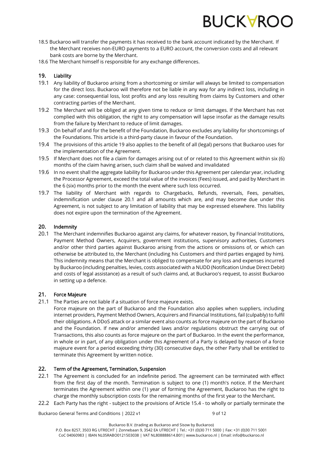

- 18.5 Buckaroo will transfer the payments it has received to the bank account indicated by the Merchant. If the Merchant receives non-EURO payments to a EURO account, the conversion costs and all relevant bank costs are borne by the Merchant.
- 18.6 The Merchant himself is responsible for any exchange differences.

# 19. Liability

- 19.1 Any liability of Buckaroo arising from a shortcoming or similar will always be limited to compensation for the direct loss. Buckaroo will therefore not be liable in any way for any indirect loss, including in any case: consequential loss, lost profits and any loss resulting from claims by Customers and other contracting parties of the Merchant.
- 19.2 The Merchant will be obliged at any given time to reduce or limit damages. If the Merchant has not complied with this obligation, the right to any compensation will lapse insofar as the damage results from the failure by Merchant to reduce of limit damages.
- 19.3 On behalf of and for the benefit of the Foundation, Buckaroo excludes any liability for shortcomings of the Foundations. This article is a third-party clause in favour of the Foundation.
- 19.4 The provisions of this article 19 also applies to the benefit of all (legal) persons that Buckaroo uses for the implementation of the Agreement.
- 19.5 If Merchant does not file a claim for damages arising out of or related to this Agreement within six (6) months of the claim having arisen, such claim shall be waived and invalidated
- 19.6 In no event shall the aggregate liability for Buckaroo under this Agreement per calendar year, including the Processor Agreement, exceed the total value of the invoices (Fees) issued, and paid by Merchant in the 6 (six) months prior to the month the event where such loss occurred.
- 19.7 The liability of Merchant with regards to Chargebacks, Refunds, reversals, Fees, penalties, indemnification under clause 20.1 and all amounts which are, and may become due under this Agreement, is not subject to any limitation of liability that may be expressed elsewhere. This liability does not expire upon the termination of the Agreement.

### 20. Indemnity

20.1 The Merchant indemnifies Buckaroo against any claims, for whatever reason, by Financial Institutions, Payment Method Owners, Acquirers, government institutions, supervisory authorities, Customers and/or other third parties against Buckaroo arising from the actions or omissions of, or which can otherwise be attributed to, the Merchant (including his Customers and third parties engaged by him). This indemnity means that the Merchant is obliged to compensate for any loss and expenses incurred by Buckaroo (including penalties, levies, costs associated with a NUDD (Notification Undue Direct Debit) and costs of legal assistance) as a result of such claims and, at Buckaroo's request, to assist Buckaroo in setting up a defence.

## 21. Force Majeure

- 21.1 The Parties are not liable if a situation of force majeure exists.
	- Force majeure on the part of Buckaroo and the Foundation also applies when suppliers, including internet providers, Payment Method Owners, Acquirers and Financial Institutions, fail (culpably) to fulfil their obligations. A DDoS attack or a similar event also counts as force majeure on the part of Buckaroo and the Foundation. If new and/or amended laws and/or regulations obstruct the carrying out of Transactions, this also counts as force majeure on the part of Buckaroo. In the event the performance, in whole or in part, of any obligation under this Agreement of a Party is delayed by reason of a force majeure event for a period exceeding thirty (30) consecutive days, the other Party shall be entitled to terminate this Agreement by written notice.

## 22. Term of the Agreement, Termination, Suspension

- 22.1 The Agreement is concluded for an indefinite period. The agreement can be terminated with effect from the first day of the month. Termination is subject to one (1) month's notice. If the Merchant terminates the Agreement within one (1) year of forming the Agreement, Buckaroo has the right to charge the monthly subscription costs for the remaining months of the first year to the Merchant.
- <span id="page-8-0"></span>22.2 Each Party has the right - subject to the provisions of Articl[e 15.4](#page-6-2) - to wholly or partially terminate the

Buckaroo General Terms and Conditions | 2022 v1 9 of 12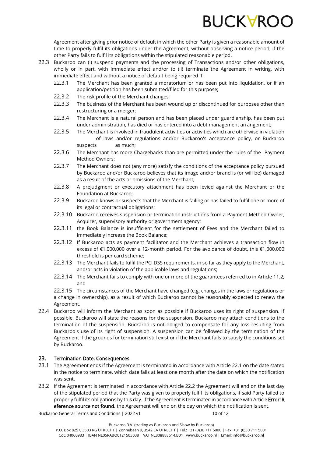

Agreement after giving prior notice of default in which the other Party is given a reasonable amount of time to properly fulfil its obligations under the Agreement, without observing a notice period, if the other Party fails to fulfil its obligations within the stipulated reasonable period.

- <span id="page-9-0"></span>22.3 Buckaroo can (i) suspend payments and the processing of Transactions and/or other obligations, wholly or in part, with immediate effect and/or to (ii) terminate the Agreement in writing, with immediate effect and without a notice of default being required if:
	- 22.3.1 The Merchant has been granted a moratorium or has been put into liquidation, or if an application/petition has been submitted/filed for this purpose;
	- 22.3.2 The risk profile of the Merchant changes;
	- 22.3.3 The business of the Merchant has been wound up or discontinued for purposes other than restructuring or a merger;
	- 22.3.4 The Merchant is a natural person and has been placed under guardianship, has been put under administration, has died or has entered into a debt management arrangement;
	- 22.3.5 The Merchant is involved in fraudulent activities or activities which are otherwise in violation of laws and/or regulations and/or Buckaroo's acceptance policy, or Buckaroo suspects as much;
	- 22.3.6 The Merchant has more Chargebacks than are permitted under the rules of the Payment Method Owners;
	- 22.3.7 The Merchant does not (any more) satisfy the conditions of the acceptance policy pursued by Buckaroo and/or Buckaroo believes that its image and/or brand is (or will be) damaged as a result of the acts or omissions of the Merchant;
	- 22.3.8 A prejudgment or executory attachment has been levied against the Merchant or the Foundation at Buckaroo;
	- 22.3.9 Buckaroo knows or suspects that the Merchant is failing or has failed to fulfil one or more of its legal or contractual obligations;
	- 22.3.10 Buckaroo receives suspension or termination instructions from a Payment Method Owner, Acquirer, supervisory authority or government agency;
	- 22.3.11 the Book Balance is insufficient for the settlement of Fees and the Merchant failed to immediately increase the Book Balance;
	- 22.3.12 If Buckaroo acts as payment facilitator and the Merchant achieves a transaction flow in excess of €1,000,000 over a 12-month period. For the avoidance of doubt, this €1,000,000 threshold is per card scheme;
	- 22.3.13 The Merchant fails to fulfil the PCI DSS requirements, in so far as they apply to the Merchant, and/or acts in violation of the applicable laws and regulations;
	- 22.3.14 The Merchant fails to comply with one or more of the guarantees referred to in Article 11.2; and

22.3.15 The circumstances of the Merchant have changed (e.g. changes in the laws or regulations or a change in ownership), as a result of which Buckaroo cannot be reasonably expected to renew the Agreement.

22.4 Buckaroo will inform the Merchant as soon as possible if Buckaroo uses its right of suspension. If possible, Buckaroo will state the reasons for the suspension. Buckaroo may attach conditions to the termination of the suspension. Buckaroo is not obliged to compensate for any loss resulting from Buckaroo's use of its right of suspension. A suspension can be followed by the termination of the Agreement if the grounds for termination still exist or if the Merchant fails to satisfy the conditions set by Buckaroo.

## 23. Termination Date, Consequences

- 23.1 The Agreement ends if the Agreement is terminated in accordance with Article 22.1 on the date stated in the notice to terminate, which date falls at least one month after the date on which the notification was sent.
- 23.2 If the Agreement is terminated in accordance with Article [22.2](#page-8-0) the Agreement will end on the last day of the stipulated period that the Party was given to properly fulfil its obligations, if said Party failed to properly fulfil its obligations by this day. If the Agreement is terminated in accordance with Article Error! R eference source not found. the Agreement will end on the day on which the notification is sent.

Buckaroo General Terms and Conditions | 2022 v1 10 06 12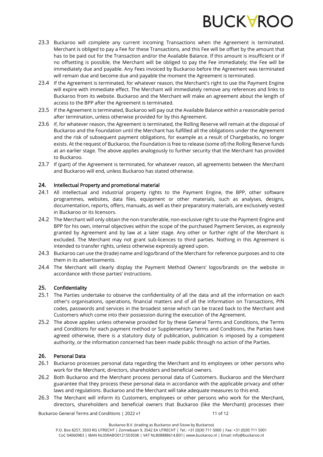

- 23.3 Buckaroo will complete any current incoming Transactions when the Agreement is terminated. Merchant is obliged to pay a Fee for these Transactions, and this Fee will be offset by the amount that has to be paid out for the Transaction and/or the Available Balance. If this amount is insufficient or if no offsetting is possible, the Merchant will be obliged to pay the Fee immediately; the Fee will be immediately due and payable. Any Fees invoiced by Buckaroo before the Agreement was terminated will remain due and become due and payable the moment the Agreement is terminated.
- 23.4 If the Agreement is terminated, for whatever reason, the Merchant's right to use the Payment Engine will expire with immediate effect. The Merchant will immediately remove any references and links to Buckaroo from its website. Buckaroo and the Merchant will make an agreement about the length of access to the BPP after the Agreement is terminated.
- 23.5 If the Agreement is terminated, Buckaroo will pay out the Available Balance within a reasonable period after termination, unless otherwise provided for by this Agreement.
- 23.6 If, for whatever reason, the Agreement is terminated, the Rolling Reserve will remain at the disposal of Buckaroo and the Foundation until the Merchant has fulfilled all the obligations under the Agreement and the risk of subsequent payment obligations, for example as a result of Chargebacks, no longer exists. At the request of Buckaroo, the Foundation is free to release (some of) the Rolling Reserve funds at an earlier stage. The above applies analogously to further security that the Merchant has provided to Buckaroo.
- 23.7 If (part) of the Agreement is terminated, for whatever reason, all agreements between the Merchant and Buckaroo will end, unless Buckaroo has stated otherwise.

### 24. Intellectual Property and promotional material

- 24.1 All intellectual and industrial property rights to the Payment Engine, the BPP, other software programmes, websites, data files, equipment or other materials, such as analyses, designs, documentation, reports, offers, manuals, as well as their preparatory materials, are exclusively vested in Buckaroo or its licensors.
- 24.2 The Merchant will only obtain the non-transferable, non-exclusive right to use the Payment Engine and BPP for his own, internal objectives within the scope of the purchased Payment Services, as expressly granted by Agreement and by law at a later stage. Any other or further right of the Merchant is excluded. The Merchant may not grant sub-licences to third parties. Nothing in this Agreement is intended to transfer rights, unless otherwise expressly agreed upon.
- 24.3 Buckaroo can use the (trade) name and logo/brand of the Merchant for reference purposes and to cite them in its advertisements.
- 24.4 The Merchant will clearly display the Payment Method Owners' logos/brands on the website in accordance with those parties' instructions.

#### 25. Confidentiality

- 25.1 The Parties undertake to observe the confidentiality of all the data and all the information on each other's organisations, operations, financial matters and of all the information on Transactions, PIN codes, passwords and services in the broadest sense which can be traced back to the Merchant and Customers which come into their possession during the execution of the Agreement.
- 25.2 The above applies unless otherwise provided for by these General Terms and Conditions, the Terms and Conditions for each payment method or Supplementary Terms and Conditions, the Parties have agreed otherwise, there is a statutory duty of publication, publication is imposed by a competent authority, or the information concerned has been made public through no action of the Parties.

## 26. Personal Data

- 26.1 Buckaroo processes personal data regarding the Merchant and its employees or other persons who work for the Merchant, directors, shareholders and beneficial owners.
- 26.2 Both Buckaroo and the Merchant process personal data of Customers. Buckaroo and the Merchant guarantee that they process these personal data in accordance with the applicable privacy and other laws and regulations. Buckaroo and the Merchant will take adequate measures to this end.
- 26.3 The Merchant will inform its Customers, employees or other persons who work for the Merchant, directors, shareholders and beneficial owners that Buckaroo (like the Merchant) processes their

Buckaroo General Terms and Conditions | 2022 v1 11 06 12